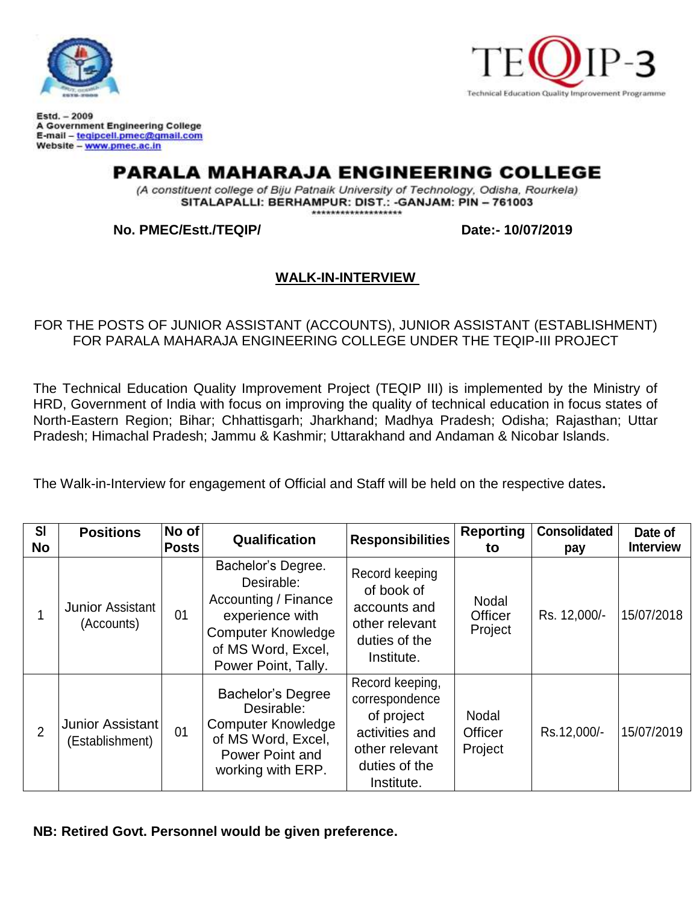



Estd. - 2009 A Government Engineering College E-mail - tegipcell.pmec@gmail.com Website - www.pmec.ac.in

# PARALA MAHARAJA ENGINEERING COLLEGE

(A constituent college of Biju Patnaik University of Technology, Odisha, Rourkela) SITALAPALLI: BERHAMPUR: DIST.: - GANJAM: PIN - 761003 \*\*\*\*\*\*\*\*\*\*\*\*\*\*\*\*\*\*\*

**No. PMEC/Estt./TEQIP/ Date:- 10/07/2019**

# **WALK-IN-INTERVIEW**

FOR THE POSTS OF JUNIOR ASSISTANT (ACCOUNTS), JUNIOR ASSISTANT (ESTABLISHMENT) FOR PARALA MAHARAJA ENGINEERING COLLEGE UNDER THE TEQIP-III PROJECT

The Technical Education Quality Improvement Project (TEQIP III) is implemented by the Ministry of HRD, Government of India with focus on improving the quality of technical education in focus states of North-Eastern Region; Bihar; Chhattisgarh; Jharkhand; Madhya Pradesh; Odisha; Rajasthan; Uttar Pradesh; Himachal Pradesh; Jammu & Kashmir; Uttarakhand and Andaman & Nicobar Islands.

The Walk-in-Interview for engagement of Official and Staff will be held on the respective dates**.**

| SI<br>No       | <b>Positions</b>                      | No of<br><b>Posts</b> | Qualification                                                                                                                                         | <b>Responsibilities</b>                                                                                            | <b>Reporting</b><br>to                    | <b>Consolidated</b><br>pay | Date of<br><b>Interview</b> |
|----------------|---------------------------------------|-----------------------|-------------------------------------------------------------------------------------------------------------------------------------------------------|--------------------------------------------------------------------------------------------------------------------|-------------------------------------------|----------------------------|-----------------------------|
|                | <b>Junior Assistant</b><br>(Accounts) | 01                    | Bachelor's Degree.<br>Desirable:<br>Accounting / Finance<br>experience with<br><b>Computer Knowledge</b><br>of MS Word, Excel,<br>Power Point, Tally. | Record keeping<br>of book of<br>accounts and<br>other relevant<br>duties of the<br>Institute.                      | <b>Nodal</b><br>Officer<br>Project        | Rs. 12,000/-               | 15/07/2018                  |
| $\overline{2}$ | Junior Assistant<br>(Establishment)   | 01                    | <b>Bachelor's Degree</b><br>Desirable:<br><b>Computer Knowledge</b><br>of MS Word, Excel,<br>Power Point and<br>working with ERP.                     | Record keeping,<br>correspondence<br>of project<br>activities and<br>other relevant<br>duties of the<br>Institute. | <b>Nodal</b><br><b>Officer</b><br>Project | Rs.12,000/-                | 15/07/2019                  |

**NB: Retired Govt. Personnel would be given preference.**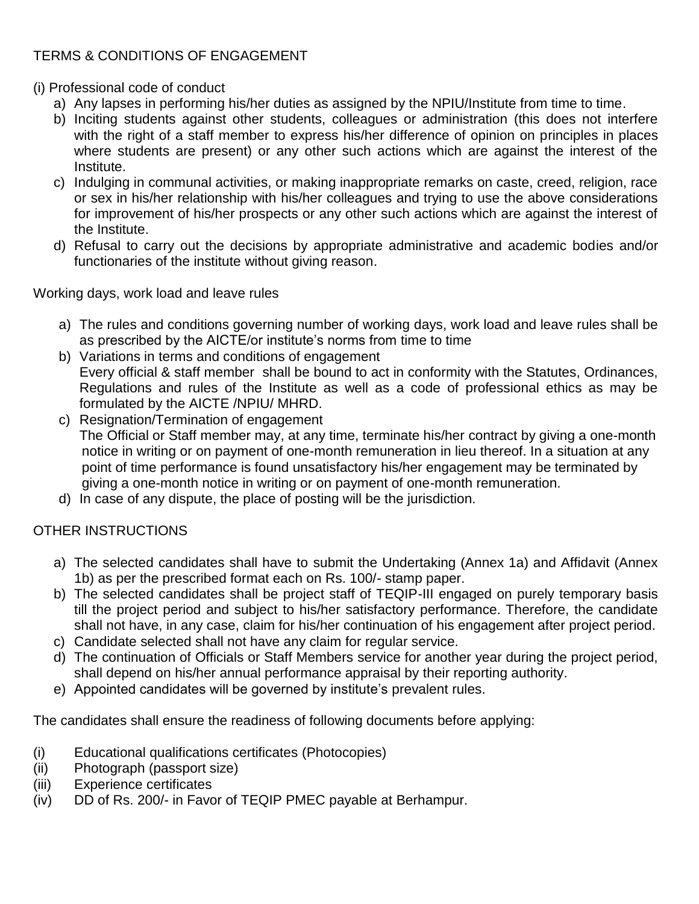### TERMS & CONDITIONS OF ENGAGEMENT

(i) Professional code of conduct

- a) Any lapses in performing his/her duties as assigned by the NPIU/Institute from time to time.
- b) Inciting students against other students, colleagues or administration (this does not interfere with the right of a staff member to express his/her difference of opinion on principles in places where students are present) or any other such actions which are against the interest of the Institute.
- c) Indulging in communal activities, or making inappropriate remarks on caste, creed, religion, race or sex in his/her relationship with his/her colleagues and trying to use the above considerations for improvement of his/her prospects or any other such actions which are against the interest of the Institute.
- d) Refusal to carry out the decisions by appropriate administrative and academic bodies and/or functionaries of the institute without giving reason.

Working days, work load and leave rules

- a) The rules and conditions governing number of working days, work load and leave rules shall be as prescribed by the AICTE/or institute's norms from time to time
- b) Variations in terms and conditions of engagement Every official & staff member shall be bound to act in conformity with the Statutes, Ordinances, Regulations and rules of the Institute as well as a code of professional ethics as may be formulated by the AICTE /NPIU/ MHRD.
- c) Resignation/Termination of engagement The Official or Staff member may, at any time, terminate his/her contract by giving a one-month notice in writing or on payment of one-month remuneration in lieu thereof. In a situation at any point of time performance is found unsatisfactory his/her engagement may be terminated by giving a one-month notice in writing or on payment of one-month remuneration.
- d) In case of any dispute, the place of posting will be the jurisdiction.

### OTHER INSTRUCTIONS

- a) The selected candidates shall have to submit the Undertaking (Annex 1a) and Affidavit (Annex 1b) as per the prescribed format each on Rs. 100/- stamp paper.
- b) The selected candidates shall be project staff of TEQIP-III engaged on purely temporary basis till the project period and subject to his/her satisfactory performance. Therefore, the candidate shall not have, in any case, claim for his/her continuation of his engagement after project period.
- c) Candidate selected shall not have any claim for regular service.
- d) The continuation of Officials or Staff Members service for another year during the project period, shall depend on his/her annual performance appraisal by their reporting authority.
- e) Appointed candidates will be governed by institute's prevalent rules.

The candidates shall ensure the readiness of following documents before applying:

- (i) Educational qualifications certificates (Photocopies)
- (ii) Photograph (passport size)
- (iii) Experience certificates
- (iv) DD of Rs. 200/- in Favor of TEQIP PMEC payable at Berhampur.